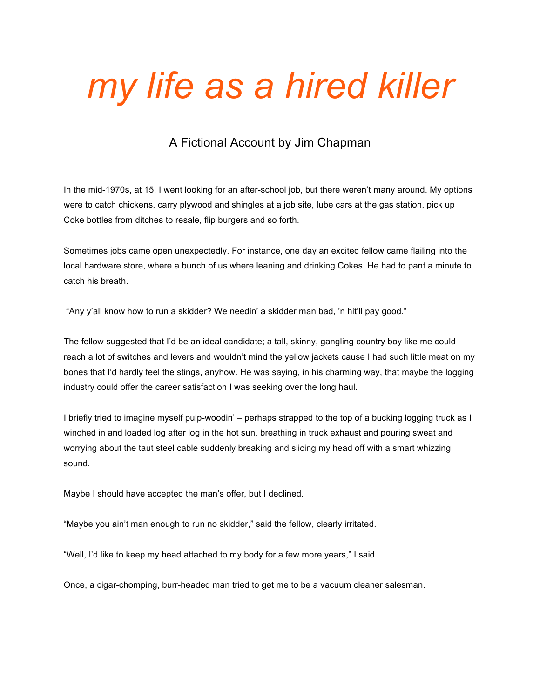## *my life as a hired killer*

## A Fictional Account by Jim Chapman

In the mid-1970s, at 15, I went looking for an after-school job, but there weren't many around. My options were to catch chickens, carry plywood and shingles at a job site, lube cars at the gas station, pick up Coke bottles from ditches to resale, flip burgers and so forth.

Sometimes jobs came open unexpectedly. For instance, one day an excited fellow came flailing into the local hardware store, where a bunch of us where leaning and drinking Cokes. He had to pant a minute to catch his breath.

"Any y'all know how to run a skidder? We needin' a skidder man bad, 'n hit'll pay good."

The fellow suggested that I'd be an ideal candidate; a tall, skinny, gangling country boy like me could reach a lot of switches and levers and wouldn't mind the yellow jackets cause I had such little meat on my bones that I'd hardly feel the stings, anyhow. He was saying, in his charming way, that maybe the logging industry could offer the career satisfaction I was seeking over the long haul.

I briefly tried to imagine myself pulp-woodin' – perhaps strapped to the top of a bucking logging truck as I winched in and loaded log after log in the hot sun, breathing in truck exhaust and pouring sweat and worrying about the taut steel cable suddenly breaking and slicing my head off with a smart whizzing sound.

Maybe I should have accepted the man's offer, but I declined.

"Maybe you ain't man enough to run no skidder," said the fellow, clearly irritated.

"Well, I'd like to keep my head attached to my body for a few more years," I said.

Once, a cigar-chomping, burr-headed man tried to get me to be a vacuum cleaner salesman.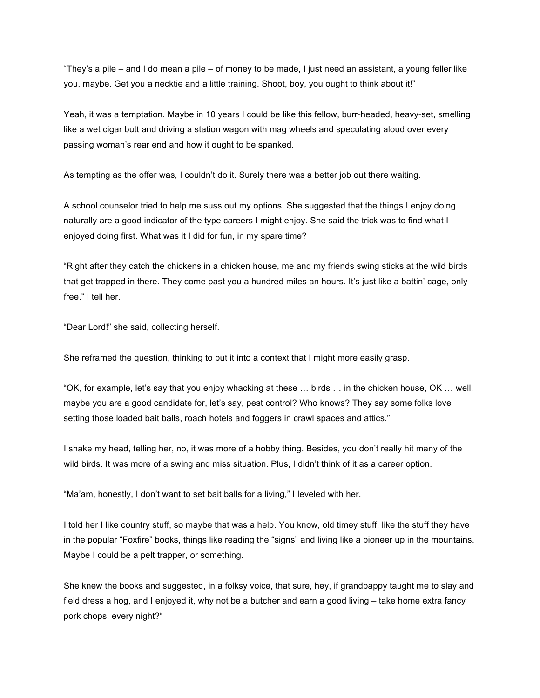"They's a pile – and I do mean a pile – of money to be made, I just need an assistant, a young feller like you, maybe. Get you a necktie and a little training. Shoot, boy, you ought to think about it!"

Yeah, it was a temptation. Maybe in 10 years I could be like this fellow, burr-headed, heavy-set, smelling like a wet cigar butt and driving a station wagon with mag wheels and speculating aloud over every passing woman's rear end and how it ought to be spanked.

As tempting as the offer was, I couldn't do it. Surely there was a better job out there waiting.

A school counselor tried to help me suss out my options. She suggested that the things I enjoy doing naturally are a good indicator of the type careers I might enjoy. She said the trick was to find what I enjoyed doing first. What was it I did for fun, in my spare time?

"Right after they catch the chickens in a chicken house, me and my friends swing sticks at the wild birds that get trapped in there. They come past you a hundred miles an hours. It's just like a battin' cage, only free." I tell her.

"Dear Lord!" she said, collecting herself.

She reframed the question, thinking to put it into a context that I might more easily grasp.

"OK, for example, let's say that you enjoy whacking at these … birds … in the chicken house, OK … well, maybe you are a good candidate for, let's say, pest control? Who knows? They say some folks love setting those loaded bait balls, roach hotels and foggers in crawl spaces and attics."

I shake my head, telling her, no, it was more of a hobby thing. Besides, you don't really hit many of the wild birds. It was more of a swing and miss situation. Plus, I didn't think of it as a career option.

"Ma'am, honestly, I don't want to set bait balls for a living," I leveled with her.

I told her I like country stuff, so maybe that was a help. You know, old timey stuff, like the stuff they have in the popular "Foxfire" books, things like reading the "signs" and living like a pioneer up in the mountains. Maybe I could be a pelt trapper, or something.

She knew the books and suggested, in a folksy voice, that sure, hey, if grandpappy taught me to slay and field dress a hog, and I enjoyed it, why not be a butcher and earn a good living – take home extra fancy pork chops, every night?"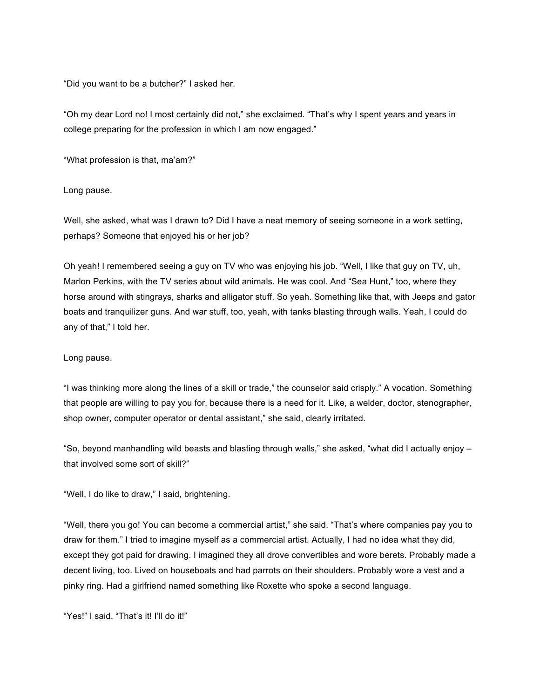"Did you want to be a butcher?" I asked her.

"Oh my dear Lord no! I most certainly did not," she exclaimed. "That's why I spent years and years in college preparing for the profession in which I am now engaged."

"What profession is that, ma'am?"

Long pause.

Well, she asked, what was I drawn to? Did I have a neat memory of seeing someone in a work setting, perhaps? Someone that enjoyed his or her job?

Oh yeah! I remembered seeing a guy on TV who was enjoying his job. "Well, I like that guy on TV, uh, Marlon Perkins, with the TV series about wild animals. He was cool. And "Sea Hunt," too, where they horse around with stingrays, sharks and alligator stuff. So yeah. Something like that, with Jeeps and gator boats and tranquilizer guns. And war stuff, too, yeah, with tanks blasting through walls. Yeah, I could do any of that," I told her.

Long pause.

"I was thinking more along the lines of a skill or trade," the counselor said crisply." A vocation. Something that people are willing to pay you for, because there is a need for it. Like, a welder, doctor, stenographer, shop owner, computer operator or dental assistant," she said, clearly irritated.

"So, beyond manhandling wild beasts and blasting through walls," she asked, "what did I actually enjoy – that involved some sort of skill?"

"Well, I do like to draw," I said, brightening.

"Well, there you go! You can become a commercial artist," she said. "That's where companies pay you to draw for them." I tried to imagine myself as a commercial artist. Actually, I had no idea what they did, except they got paid for drawing. I imagined they all drove convertibles and wore berets. Probably made a decent living, too. Lived on houseboats and had parrots on their shoulders. Probably wore a vest and a pinky ring. Had a girlfriend named something like Roxette who spoke a second language.

"Yes!" I said. "That's it! I'll do it!"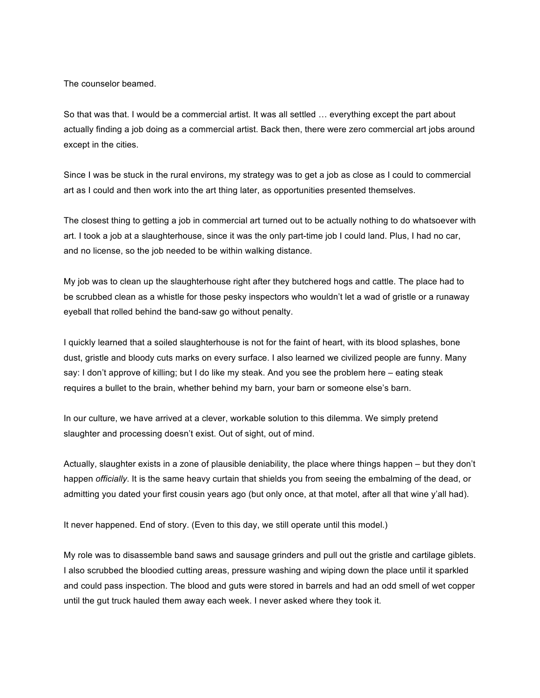The counselor beamed.

So that was that. I would be a commercial artist. It was all settled … everything except the part about actually finding a job doing as a commercial artist. Back then, there were zero commercial art jobs around except in the cities.

Since I was be stuck in the rural environs, my strategy was to get a job as close as I could to commercial art as I could and then work into the art thing later, as opportunities presented themselves.

The closest thing to getting a job in commercial art turned out to be actually nothing to do whatsoever with art. I took a job at a slaughterhouse, since it was the only part-time job I could land. Plus, I had no car, and no license, so the job needed to be within walking distance.

My job was to clean up the slaughterhouse right after they butchered hogs and cattle. The place had to be scrubbed clean as a whistle for those pesky inspectors who wouldn't let a wad of gristle or a runaway eyeball that rolled behind the band-saw go without penalty.

I quickly learned that a soiled slaughterhouse is not for the faint of heart, with its blood splashes, bone dust, gristle and bloody cuts marks on every surface. I also learned we civilized people are funny. Many say: I don't approve of killing; but I do like my steak. And you see the problem here – eating steak requires a bullet to the brain, whether behind my barn, your barn or someone else's barn.

In our culture, we have arrived at a clever, workable solution to this dilemma. We simply pretend slaughter and processing doesn't exist. Out of sight, out of mind.

Actually, slaughter exists in a zone of plausible deniability, the place where things happen – but they don't happen *officially*. It is the same heavy curtain that shields you from seeing the embalming of the dead, or admitting you dated your first cousin years ago (but only once, at that motel, after all that wine y'all had).

It never happened. End of story. (Even to this day, we still operate until this model.)

My role was to disassemble band saws and sausage grinders and pull out the gristle and cartilage giblets. I also scrubbed the bloodied cutting areas, pressure washing and wiping down the place until it sparkled and could pass inspection. The blood and guts were stored in barrels and had an odd smell of wet copper until the gut truck hauled them away each week. I never asked where they took it.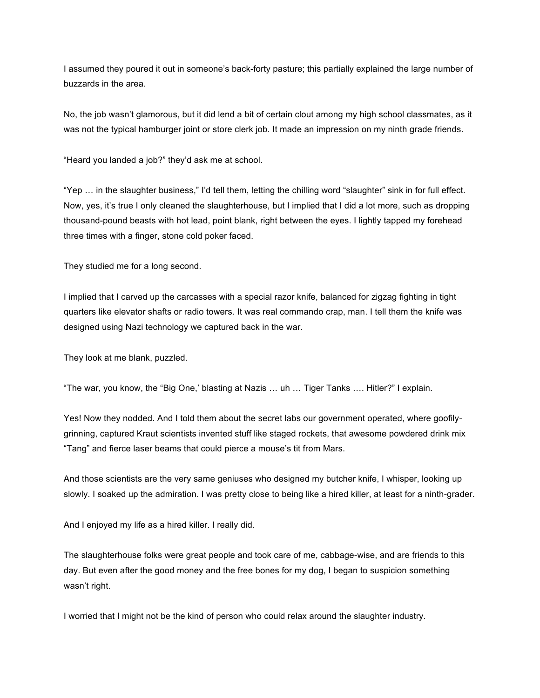I assumed they poured it out in someone's back-forty pasture; this partially explained the large number of buzzards in the area.

No, the job wasn't glamorous, but it did lend a bit of certain clout among my high school classmates, as it was not the typical hamburger joint or store clerk job. It made an impression on my ninth grade friends.

"Heard you landed a job?" they'd ask me at school.

"Yep … in the slaughter business," I'd tell them, letting the chilling word "slaughter" sink in for full effect. Now, yes, it's true I only cleaned the slaughterhouse, but I implied that I did a lot more, such as dropping thousand-pound beasts with hot lead, point blank, right between the eyes. I lightly tapped my forehead three times with a finger, stone cold poker faced.

They studied me for a long second.

I implied that I carved up the carcasses with a special razor knife, balanced for zigzag fighting in tight quarters like elevator shafts or radio towers. It was real commando crap, man. I tell them the knife was designed using Nazi technology we captured back in the war.

They look at me blank, puzzled.

"The war, you know, the "Big One,' blasting at Nazis … uh … Tiger Tanks …. Hitler?" I explain.

Yes! Now they nodded. And I told them about the secret labs our government operated, where goofilygrinning, captured Kraut scientists invented stuff like staged rockets, that awesome powdered drink mix "Tang" and fierce laser beams that could pierce a mouse's tit from Mars.

And those scientists are the very same geniuses who designed my butcher knife, I whisper, looking up slowly. I soaked up the admiration. I was pretty close to being like a hired killer, at least for a ninth-grader.

And I enjoyed my life as a hired killer. I really did.

The slaughterhouse folks were great people and took care of me, cabbage-wise, and are friends to this day. But even after the good money and the free bones for my dog, I began to suspicion something wasn't right.

I worried that I might not be the kind of person who could relax around the slaughter industry.